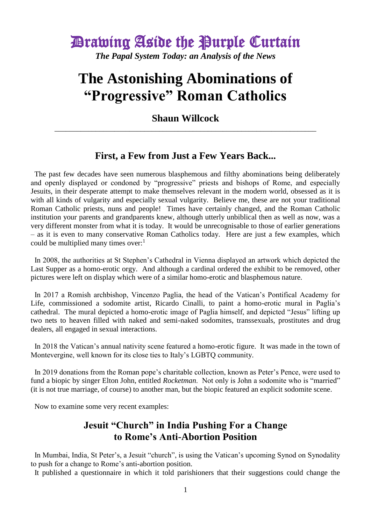# Drawing Aside the Purple Curtain

*The Papal System Today: an Analysis of the News*

# **The Astonishing Abominations of "Progressive" Roman Catholics**

### **Shaun Willcock** \_\_\_\_\_\_\_\_\_\_\_\_\_\_\_\_\_\_\_\_\_\_\_\_\_\_\_\_\_\_\_\_\_\_\_\_\_\_\_\_\_\_\_\_\_\_\_\_\_\_\_\_\_\_\_\_\_\_\_\_\_\_\_\_\_\_\_\_\_\_

## **First, a Few from Just a Few Years Back...**

 The past few decades have seen numerous blasphemous and filthy abominations being deliberately and openly displayed or condoned by "progressive" priests and bishops of Rome, and especially Jesuits, in their desperate attempt to make themselves relevant in the modern world, obsessed as it is with all kinds of vulgarity and especially sexual vulgarity. Believe me, these are not your traditional Roman Catholic priests, nuns and people! Times have certainly changed, and the Roman Catholic institution your parents and grandparents knew, although utterly unbiblical then as well as now, was a very different monster from what it is today. It would be unrecognisable to those of earlier generations – as it is even to many conservative Roman Catholics today. Here are just a few examples, which could be multiplied many times over: $<sup>1</sup>$ </sup>

 In 2008, the authorities at St Stephen's Cathedral in Vienna displayed an artwork which depicted the Last Supper as a homo-erotic orgy. And although a cardinal ordered the exhibit to be removed, other pictures were left on display which were of a similar homo-erotic and blasphemous nature.

 In 2017 a Romish archbishop, Vincenzo Paglia, the head of the Vatican's Pontifical Academy for Life, commissioned a sodomite artist, Ricardo Cinalli, to paint a homo-erotic mural in Paglia's cathedral. The mural depicted a homo-erotic image of Paglia himself, and depicted "Jesus" lifting up two nets to heaven filled with naked and semi-naked sodomites, transsexuals, prostitutes and drug dealers, all engaged in sexual interactions.

 In 2018 the Vatican's annual nativity scene featured a homo-erotic figure. It was made in the town of Montevergine, well known for its close ties to Italy's LGBTQ community.

 In 2019 donations from the Roman pope's charitable collection, known as Peter's Pence, were used to fund a biopic by singer Elton John, entitled *Rocketman*. Not only is John a sodomite who is "married" (it is not true marriage, of course) to another man, but the biopic featured an explicit sodomite scene.

Now to examine some very recent examples:

## **Jesuit "Church" in India Pushing For a Change to Rome's Anti-Abortion Position**

 In Mumbai, India, St Peter's, a Jesuit "church", is using the Vatican's upcoming Synod on Synodality to push for a change to Rome's anti-abortion position.

It published a questionnaire in which it told parishioners that their suggestions could change the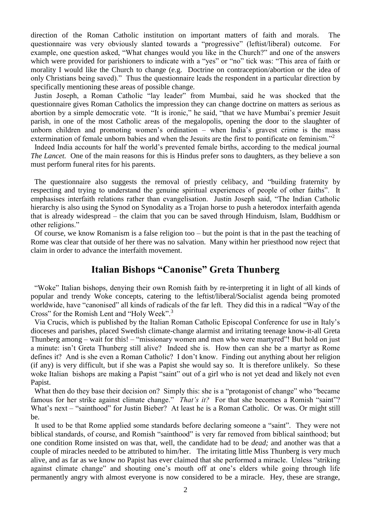direction of the Roman Catholic institution on important matters of faith and morals. The questionnaire was very obviously slanted towards a "progressive" (leftist/liberal) outcome. For example, one question asked, "What changes would you like in the Church?" and one of the answers which were provided for parishioners to indicate with a "yes" or "no" tick was: "This area of faith or morality I would like the Church to change (e.g. Doctrine on contraception/abortion or the idea of only Christians being saved)." Thus the questionnaire leads the respondent in a particular direction by specifically mentioning these areas of possible change.

 Justin Joseph, a Roman Catholic "lay leader" from Mumbai, said he was shocked that the questionnaire gives Roman Catholics the impression they can change doctrine on matters as serious as abortion by a simple democratic vote. "It is ironic," he said, "that we have Mumbai's premier Jesuit parish, in one of the most Catholic areas of the megalopolis, opening the door to the slaughter of unborn children and promoting women's ordination – when India's gravest crime is the mass extermination of female unborn babies and when the Jesuits are the first to pontificate on feminism."<sup>2</sup>

 Indeed India accounts for half the world's prevented female births, according to the medical journal *The Lancet.* One of the main reasons for this is Hindus prefer sons to daughters, as they believe a son must perform funeral rites for his parents.

 The questionnaire also suggests the removal of priestly celibacy, and "building fraternity by respecting and trying to understand the genuine spiritual experiences of people of other faiths". It emphasises interfaith relations rather than evangelisation. Justin Joseph said, "The Indian Catholic hierarchy is also using the Synod on Synodality as a Trojan horse to push a heterodox interfaith agenda that is already widespread – the claim that you can be saved through Hinduism, Islam, Buddhism or other religions."

 Of course, we know Romanism is a false religion too – but the point is that in the past the teaching of Rome was clear that outside of her there was no salvation. Many within her priesthood now reject that claim in order to advance the interfaith movement.

## **Italian Bishops "Canonise" Greta Thunberg**

 "Woke" Italian bishops, denying their own Romish faith by re-interpreting it in light of all kinds of popular and trendy Woke concepts, catering to the leftist/liberal/Socialist agenda being promoted worldwide, have "canonised" all kinds of radicals of the far left. They did this in a radical "Way of the Cross" for the Romish Lent and "Holy Week".<sup>3</sup>

 Via Crucis, which is published by the Italian Roman Catholic Episcopal Conference for use in Italy's dioceses and parishes, placed Swedish climate-change alarmist and irritating teenage know-it-all Greta Thunberg among – wait for this! – "missionary women and men who were martyred"! But hold on just a minute: isn't Greta Thunberg still alive? Indeed she is. How then can she be a martyr as Rome defines it? And is she even a Roman Catholic? I don't know. Finding out anything about her religion (if any) is very difficult, but if she was a Papist she would say so. It is therefore unlikely. So these woke Italian bishops are making a Papist "saint" out of a girl who is not yet dead and likely not even Papist.

What then do they base their decision on? Simply this: she is a "protagonist of change" who "became famous for her strike against climate change." *That's it?* For that she becomes a Romish "saint"? What's next – "sainthood" for Justin Bieber? At least he is a Roman Catholic. Or was. Or might still be.

 It used to be that Rome applied some standards before declaring someone a "saint". They were not biblical standards, of course, and Romish "sainthood" is very far removed from biblical sainthood; but one condition Rome insisted on was that, well, the candidate had to be *dead;* and another was that a couple of miracles needed to be attributed to him/her. The irritating little Miss Thunberg is very much alive, and as far as we know no Papist has ever claimed that she performed a miracle. Unless "striking against climate change" and shouting one's mouth off at one's elders while going through life permanently angry with almost everyone is now considered to be a miracle. Hey, these are strange,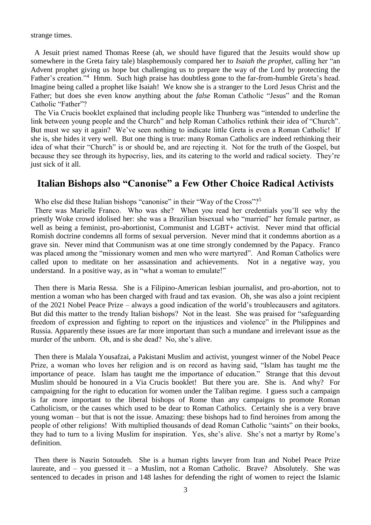strange times.

 A Jesuit priest named Thomas Reese (ah, we should have figured that the Jesuits would show up somewhere in the Greta fairy tale) blasphemously compared her to *Isaiah the prophet,* calling her "an Advent prophet giving us hope but challenging us to prepare the way of the Lord by protecting the Father's creation."<sup>4</sup> Hmm. Such high praise has doubtless gone to the far-from-humble Greta's head. Imagine being called a prophet like Isaiah! We know she is a stranger to the Lord Jesus Christ and the Father; but does she even know anything about the *false* Roman Catholic "Jesus" and the Roman Catholic "Father"?

 The Via Crucis booklet explained that including people like Thunberg was "intended to underline the link between young people and the Church" and help Roman Catholics rethink their idea of "Church". But must we say it again? We've seen nothing to indicate little Greta is even a Roman Catholic! If she is, she hides it very well. But one thing is true: many Roman Catholics are indeed rethinking their idea of what their "Church" is or should be, and are rejecting it. Not for the truth of the Gospel, but because they see through its hypocrisy, lies, and its catering to the world and radical society. They're just sick of it all.

## **Italian Bishops also "Canonise" a Few Other Choice Radical Activists**

Who else did these Italian bishops "canonise" in their "Way of the Cross"?<sup>5</sup>

 There was Marielle Franco. Who was she? When you read her credentials you'll see why the priestly Woke crowd idolised her: she was a Brazilian bisexual who "married" her female partner, as well as being a feminist, pro-abortionist, Communist and LGBT+ activist. Never mind that official Romish doctrine condemns all forms of sexual perversion. Never mind that it condemns abortion as a grave sin. Never mind that Communism was at one time strongly condemned by the Papacy. Franco was placed among the "missionary women and men who were martyred". And Roman Catholics were called upon to meditate on her assassination and achievements. Not in a negative way, you understand. In a positive way, as in "what a woman to emulate!"

 Then there is Maria Ressa. She is a Filipino-American lesbian journalist, and pro-abortion, not to mention a woman who has been charged with fraud and tax evasion. Oh, she was also a joint recipient of the 2021 Nobel Peace Prize – always a good indication of the world's troublecausers and agitators. But did this matter to the trendy Italian bishops? Not in the least. She was praised for "safeguarding freedom of expression and fighting to report on the injustices and violence" in the Philippines and Russia. Apparently these issues are far more important than such a mundane and irrelevant issue as the murder of the unborn. Oh, and is she dead? No, she's alive.

 Then there is Malala Yousafzai, a Pakistani Muslim and activist, youngest winner of the Nobel Peace Prize, a woman who loves her religion and is on record as having said, "Islam has taught me the importance of peace. Islam has taught me the importance of education." Strange that this devout Muslim should be honoured in a Via Crucis booklet! But there you are. She is. And why? For campaigning for the right to education for women under the Taliban regime. I guess such a campaign is far more important to the liberal bishops of Rome than any campaigns to promote Roman Catholicism, or the causes which used to be dear to Roman Catholics. Certainly she is a very brave young woman – but that is not the issue. Amazing: these bishops had to find heroines from among the people of other religions! With multiplied thousands of dead Roman Catholic "saints" on their books, they had to turn to a living Muslim for inspiration. Yes, she's alive. She's not a martyr by Rome's definition.

 Then there is Nasrin Sotoudeh. She is a human rights lawyer from Iran and Nobel Peace Prize laureate, and  $-$  you guessed it  $-$  a Muslim, not a Roman Catholic. Brave? Absolutely. She was sentenced to decades in prison and 148 lashes for defending the right of women to reject the Islamic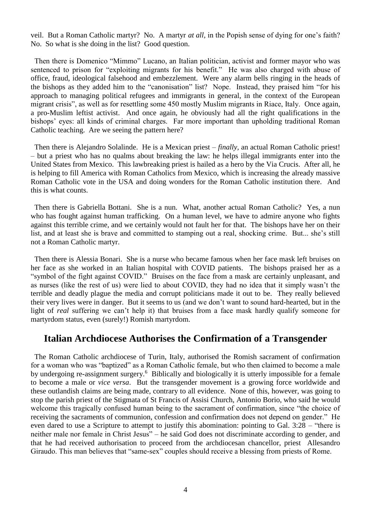veil. But a Roman Catholic martyr? No. A martyr *at all,* in the Popish sense of dying for one's faith? No. So what is she doing in the list? Good question.

 Then there is Domenico "Mimmo" Lucano, an Italian politician, activist and former mayor who was sentenced to prison for "exploiting migrants for his benefit." He was also charged with abuse of office, fraud, ideological falsehood and embezzlement. Were any alarm bells ringing in the heads of the bishops as they added him to the "canonisation" list? Nope. Instead, they praised him "for his approach to managing political refugees and immigrants in general, in the context of the European migrant crisis", as well as for resettling some 450 mostly Muslim migrants in Riace, Italy. Once again, a pro-Muslim leftist activist. And once again, he obviously had all the right qualifications in the bishops' eyes: all kinds of criminal charges. Far more important than upholding traditional Roman Catholic teaching. Are we seeing the pattern here?

 Then there is Alejandro Solalinde. He is a Mexican priest – *finally,* an actual Roman Catholic priest! – but a priest who has no qualms about breaking the law: he helps illegal immigrants enter into the United States from Mexico. This lawbreaking priest is hailed as a hero by the Via Crucis. After all, he is helping to fill America with Roman Catholics from Mexico, which is increasing the already massive Roman Catholic vote in the USA and doing wonders for the Roman Catholic institution there. And this is what counts.

 Then there is Gabriella Bottani. She is a nun. What, another actual Roman Catholic? Yes, a nun who has fought against human trafficking. On a human level, we have to admire anyone who fights against this terrible crime, and we certainly would not fault her for that. The bishops have her on their list, and at least she is brave and committed to stamping out a real, shocking crime. But... she's still not a Roman Catholic martyr.

 Then there is Alessia Bonari. She is a nurse who became famous when her face mask left bruises on her face as she worked in an Italian hospital with COVID patients. The bishops praised her as a "symbol of the fight against COVID." Bruises on the face from a mask are certainly unpleasant, and as nurses (like the rest of us) were lied to about COVID, they had no idea that it simply wasn't the terrible and deadly plague the media and corrupt politicians made it out to be. They really believed their very lives were in danger. But it seems to us (and we don't want to sound hard-hearted, but in the light of *real* suffering we can't help it) that bruises from a face mask hardly qualify someone for martyrdom status, even (surely!) Romish martyrdom.

#### **Italian Archdiocese Authorises the Confirmation of a Transgender**

 The Roman Catholic archdiocese of Turin, Italy, authorised the Romish sacrament of confirmation for a woman who was "baptized" as a Roman Catholic female, but who then claimed to become a male by undergoing re-assignment surgery.<sup>6</sup> Biblically and biologically it is utterly impossible for a female to become a male or *vice versa*. But the transgender movement is a growing force worldwide and these outlandish claims are being made, contrary to all evidence. None of this, however, was going to stop the parish priest of the Stigmata of St Francis of Assisi Church, Antonio Borio, who said he would welcome this tragically confused human being to the sacrament of confirmation, since "the choice of receiving the sacraments of communion, confession and confirmation does not depend on gender." He even dared to use a Scripture to attempt to justify this abomination: pointing to Gal. 3:28 – "there is neither male nor female in Christ Jesus" – he said God does not discriminate according to gender, and that he had received authorisation to proceed from the archdiocesan chancellor, priest Allesandro Giraudo. This man believes that "same-sex" couples should receive a blessing from priests of Rome.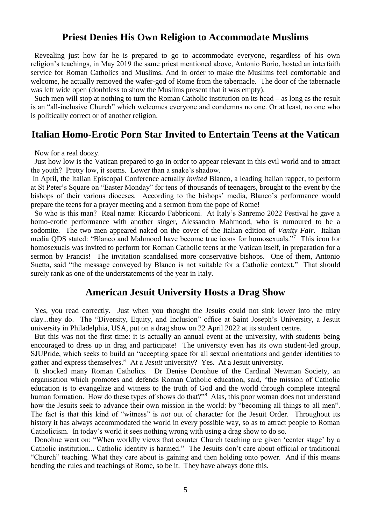#### **Priest Denies His Own Religion to Accommodate Muslims**

 Revealing just how far he is prepared to go to accommodate everyone, regardless of his own religion's teachings, in May 2019 the same priest mentioned above, Antonio Borio, hosted an interfaith service for Roman Catholics and Muslims. And in order to make the Muslims feel comfortable and welcome, he actually removed the wafer-god of Rome from the tabernacle. The door of the tabernacle was left wide open (doubtless to show the Muslims present that it was empty).

 Such men will stop at nothing to turn the Roman Catholic institution on its head – as long as the result is an "all-inclusive Church" which welcomes everyone and condemns no one. Or at least, no one who is politically correct or of another religion.

### **Italian Homo-Erotic Porn Star Invited to Entertain Teens at the Vatican**

Now for a real doozy.

 Just how low is the Vatican prepared to go in order to appear relevant in this evil world and to attract the youth? Pretty low, it seems. Lower than a snake's shadow.

In April, the Italian Episcopal Conference actually *invited* Blanco, a leading Italian rapper, to perform at St Peter's Square on "Easter Monday" for tens of thousands of teenagers, brought to the event by the bishops of their various dioceses. According to the bishops' media, Blanco's performance would prepare the teens for a prayer meeting and a sermon from the pope of Rome!

 So who is this man? Real name: Riccardo Fabbriconi. At Italy's Sanremo 2022 Festival he gave a homo-erotic performance with another singer, Alessandro Mahmood, who is rumoured to be a sodomite. The two men appeared naked on the cover of the Italian edition of *Vanity Fair*. Italian media QDS stated: "Blanco and Mahmood have become true icons for homosexuals."<sup>7</sup> This icon for homosexuals was invited to perform for Roman Catholic teens at the Vatican itself, in preparation for a sermon by Francis! The invitation scandalised more conservative bishops. One of them, Antonio Suetta, said "the message conveyed by Blanco is not suitable for a Catholic context." That should surely rank as one of the understatements of the year in Italy.

### **American Jesuit University Hosts a Drag Show**

 Yes, you read correctly. Just when you thought the Jesuits could not sink lower into the miry clay...they do. The "Diversity, Equity, and Inclusion" office at Saint Joseph's University, a Jesuit university in Philadelphia, USA, put on a drag show on 22 April 2022 at its student centre.

 But this was not the first time: it is actually an annual event at the university, with students being encouraged to dress up in drag and participate! The university even has its own student-led group, SJUPride, which seeks to build an "accepting space for all sexual orientations and gender identities to gather and express themselves." At a *Jesuit* university? Yes. At a Jesuit university.

 It shocked many Roman Catholics. Dr Denise Donohue of the Cardinal Newman Society, an organisation which promotes and defends Roman Catholic education, said, "the mission of Catholic education is to evangelize and witness to the truth of God and the world through complete integral human formation. How do these types of shows do that?"<sup>8</sup> Alas, this poor woman does not understand how the Jesuits seek to advance their own mission in the world: by "becoming all things to all men". The fact is that this kind of "witness" is *not* out of character for the Jesuit Order. Throughout its history it has always accommodated the world in every possible way, so as to attract people to Roman Catholicism. In today's world it sees nothing wrong with using a drag show to do so.

 Donohue went on: "When worldly views that counter Church teaching are given 'center stage' by a Catholic institution... Catholic identity is harmed." The Jesuits don't care about official or traditional "Church" teaching. What they care about is gaining and then holding onto power. And if this means bending the rules and teachings of Rome, so be it. They have always done this.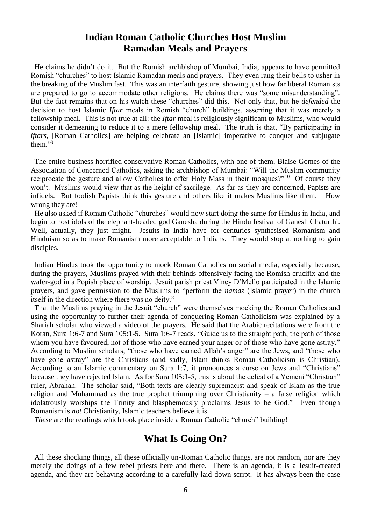## **Indian Roman Catholic Churches Host Muslim Ramadan Meals and Prayers**

 He claims he didn't do it. But the Romish archbishop of Mumbai, India, appears to have permitted Romish "churches" to host Islamic Ramadan meals and prayers. They even rang their bells to usher in the breaking of the Muslim fast. This was an interfaith gesture, showing just how far liberal Romanists are prepared to go to accommodate other religions. He claims there was "some misunderstanding". But the fact remains that on his watch these "churches" did this. Not only that, but he *defended* the decision to host Islamic *Iftar* meals in Romish "church" buildings, asserting that it was merely a fellowship meal. This is not true at all: the *Iftar* meal is religiously significant to Muslims, who would consider it demeaning to reduce it to a mere fellowship meal. The truth is that, "By participating in *iftars*, [Roman Catholics] are helping celebrate an [Islamic] imperative to conquer and subjugate them."<sup>9</sup>

 The entire business horrified conservative Roman Catholics, with one of them, Blaise Gomes of the Association of Concerned Catholics, asking the archbishop of Mumbai: "Will the Muslim community reciprocate the gesture and allow Catholics to offer Holy Mass in their mosques?"<sup>10</sup> Of course they won't. Muslims would view that as the height of sacrilege. As far as they are concerned, Papists are infidels. But foolish Papists think this gesture and others like it makes Muslims like them. How wrong they are!

 He also asked if Roman Catholic "churches" would now start doing the same for Hindus in India, and begin to host idols of the elephant-headed god Ganesha during the Hindu festival of Ganesh Chaturthi. Well, actually, they just might. Jesuits in India have for centuries synthesised Romanism and Hinduism so as to make Romanism more acceptable to Indians. They would stop at nothing to gain disciples.

 Indian Hindus took the opportunity to mock Roman Catholics on social media, especially because, during the prayers, Muslims prayed with their behinds offensively facing the Romish crucifix and the wafer-god in a Popish place of worship. Jesuit parish priest Vincy D'Mello participated in the Islamic prayers, and gave permission to the Muslims to "perform the *namaz* (Islamic prayer) in the church itself in the direction where there was no deity."

 That the Muslims praying in the Jesuit "church" were themselves mocking the Roman Catholics and using the opportunity to further their agenda of conquering Roman Catholicism was explained by a Shariah scholar who viewed a video of the prayers. He said that the Arabic recitations were from the Koran, Sura 1:6-7 and Sura 105:1-5. Sura 1:6-7 reads, "Guide us to the straight path, the path of those whom you have favoured, not of those who have earned your anger or of those who have gone astray." According to Muslim scholars, "those who have earned Allah's anger" are the Jews, and "those who have gone astray" are the Christians (and sadly, Islam thinks Roman Catholicism is Christian). According to an Islamic commentary on Sura 1:7, it pronounces a curse on Jews and "Christians" because they have rejected Islam. As for Sura 105:1-5, this is about the defeat of a Yemeni "Christian" ruler, Abrahah. The scholar said, "Both texts are clearly supremacist and speak of Islam as the true religion and Muhammad as the true prophet triumphing over Christianity – a false religion which idolatrously worships the Trinity and blasphemously proclaims Jesus to be God." Even though Romanism is *not* Christianity, Islamic teachers believe it is.

*These* are the readings which took place inside a Roman Catholic "church" building!

## **What Is Going On?**

 All these shocking things, all these officially un-Roman Catholic things, are not random, nor are they merely the doings of a few rebel priests here and there. There is an agenda, it is a Jesuit-created agenda, and they are behaving according to a carefully laid-down script. It has always been the case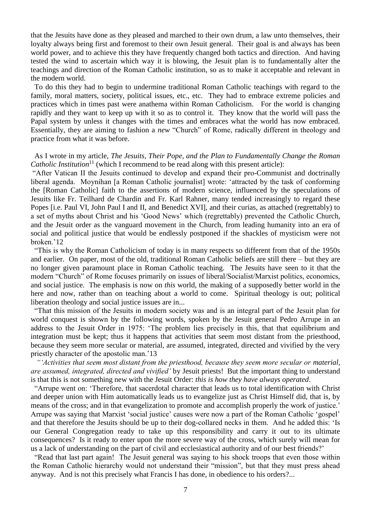that the Jesuits have done as they pleased and marched to their own drum, a law unto themselves, their loyalty always being first and foremost to their own Jesuit general. Their goal is and always has been world power, and to achieve this they have frequently changed both tactics and direction. And having tested the wind to ascertain which way it is blowing, the Jesuit plan is to fundamentally alter the teachings and direction of the Roman Catholic institution, so as to make it acceptable and relevant in the modern world.

 To do this they had to begin to undermine traditional Roman Catholic teachings with regard to the family, moral matters, society, political issues, etc., etc. They had to embrace extreme policies and practices which in times past were anathema within Roman Catholicism. For the world is changing rapidly and they want to keep up with it so as to control it. They know that the world will pass the Papal system by unless it changes with the times and embraces what the world has now embraced. Essentially, they are aiming to fashion a *new* "Church" of Rome, radically different in theology and practice from what it was before.

#### As I wrote in my article, *The Jesuits, Their Pope, and the Plan to Fundamentally Change the Roman Catholic Institution*<sup>11</sup> (which I recommend to be read along with this present article):

"After Vatican II the Jesuits continued to develop and expand their pro-Communist and doctrinally liberal agenda. Moynihan [a Roman Catholic journalist] wrote: 'attracted by the task of conforming the [Roman Catholic] faith to the assertions of modern science, influenced by the speculations of Jesuits like Fr. Teilhard de Chardin and Fr. Karl Rahner, many tended increasingly to regard these Popes [i.e. Paul VI, John Paul I and II, and Benedict XVI], and their curias, as attached (regrettably) to a set of myths about Christ and his 'Good News' which (regrettably) prevented the Catholic Church, and the Jesuit order as the vanguard movement in the Church, from leading humanity into an era of social and political justice that would be endlessly postponed if the shackles of mysticism were not broken.'12

 "This is why the Roman Catholicism of today is in many respects so different from that of the 1950s and earlier. On paper, most of the old, traditional Roman Catholic beliefs are still there – but they are no longer given paramount place in Roman Catholic teaching. The Jesuits have seen to it that the modern "Church" of Rome focuses primarily on issues of liberal/Socialist/Marxist politics, economics, and social justice. The emphasis is now on *this* world, the making of a supposedly better world in the here and now, rather than on teaching about a world to come. Spiritual theology is out; political liberation theology and social justice issues are in...

 "That this mission of the Jesuits in modern society was and is an integral part of the Jesuit plan for world conquest is shown by the following words, spoken by the Jesuit general Pedro Arrupe in an address to the Jesuit Order in 1975: 'The problem lies precisely in this, that that equilibrium and integration must be kept; thus it happens that activities that seem most distant from the priesthood, because they seem more secular or material, are assumed, integrated, directed and vivified by the very priestly character of the apostolic man.'13

 *"'Activities that seem most distant from the priesthood, because they seem more secular or material, are assumed, integrated, directed and vivified'* by Jesuit priests! But the important thing to understand is that this is not something new with the Jesuit Order: *this is how they have always operated*.

 "Arrupe went on: 'Therefore, that sacerdotal character that leads us to total identification with Christ and deeper union with Him automatically leads us to evangelize just as Christ Himself did, that is, by means of the cross; and in that evangelization to promote and accomplish properly the work of justice.' Arrupe was saying that Marxist 'social justice' causes were now a part of the Roman Catholic 'gospel' and that therefore the Jesuits should be up to their dog-collared necks in them. And he added this: 'Is our General Congregation ready to take up this responsibility and carry it out to its ultimate consequences? Is it ready to enter upon the more severe way of the cross, which surely will mean for us a lack of understanding on the part of civil and ecclesiastical authority and of our best friends?'

 "Read that last part again! The Jesuit general was saying to his shock troops that even those within the Roman Catholic hierarchy would not understand their "mission", but that they must press ahead anyway. And is not this precisely what Francis I has done, in obedience to his orders?...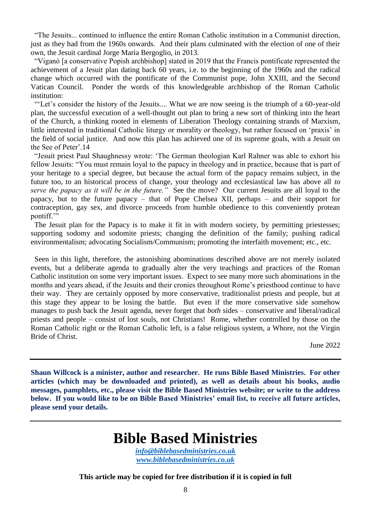"The Jesuits... continued to influence the entire Roman Catholic institution in a Communist direction, just as they had from the 1960s onwards. And their plans culminated with the election of one of their own, the Jesuit cardinal Jorge Maria Bergoglio, in 2013.

 "Viganò [a conservative Popish archbishop] stated in 2019 that the Francis pontificate represented the achievement of a Jesuit plan dating back 60 years, i.e. to the beginning of the 1960s and the radical change which occurred with the pontificate of the Communist pope, John XXIII, and the Second Vatican Council. Ponder the words of this knowledgeable archbishop of the Roman Catholic institution:

 "'Let's consider the history of the Jesuits.... What we are now seeing is the triumph of a 60-year-old plan, the successful execution of a well-thought out plan to bring a new sort of thinking into the heart of the Church, a thinking rooted in elements of Liberation Theology containing strands of Marxism, little interested in traditional Catholic liturgy or morality or theology, but rather focused on 'praxis' in the field of social justice. And now this plan has achieved one of its supreme goals, with a Jesuit on the See of Peter'.14

 "Jesuit priest Paul Shaughnessy wrote: 'The German theologian Karl Rahner was able to exhort his fellow Jesuits: "You must remain loyal to the papacy in theology and in practice, because that is part of your heritage to a special degree, but because the actual form of the papacy remains subject, in the future too, to an historical process of change, your theology and ecclesiastical law has above all *to serve the papacy as it will be in the future."* See the move? Our current Jesuits are all loyal to the papacy, but to the future papacy – that of Pope Chelsea XII, perhaps – and their support for contraception, gay sex, and divorce proceeds from humble obedience to this conveniently protean pontiff."

 The Jesuit plan for the Papacy is to make it fit in with modern society, by permitting priestesses; supporting sodomy and sodomite priests; changing the definition of the family; pushing radical environmentalism; advocating Socialism/Communism; promoting the interfaith movement; etc., etc.

 Seen in this light, therefore, the astonishing abominations described above are not merely isolated events, but a deliberate agenda to gradually alter the very teachings and practices of the Roman Catholic institution on some very important issues. Expect to see many more such abominations in the months and years ahead, if the Jesuits and their cronies throughout Rome's priesthood continue to have their way. They are certainly opposed by more conservative, traditionalist priests and people, but at this stage they appear to be losing the battle. But even if the more conservative side somehow manages to push back the Jesuit agenda, never forget that *both* sides – conservative and liberal/radical priests and people – consist of lost souls, not Christians! Rome, whether controlled by those on the Roman Catholic right or the Roman Catholic left, is a false religious system, a Whore, not the Virgin Bride of Christ.

June 2022

**Shaun Willcock is a minister, author and researcher. He runs Bible Based Ministries. For other articles (which may be downloaded and printed), as well as details about his books, audio messages, pamphlets, etc., please visit the Bible Based Ministries website; or write to the address below. If you would like to be on Bible Based Ministries' email list, to receive all future articles, please send your details.** 

## **Bible Based Ministries**

*[info@biblebasedministries.co.uk](mailto:info@biblebasedministries.co.uk) [www.biblebasedministries.co.uk](http://www.biblebasedministries.co.uk/)*

**This article may be copied for free distribution if it is copied in full**